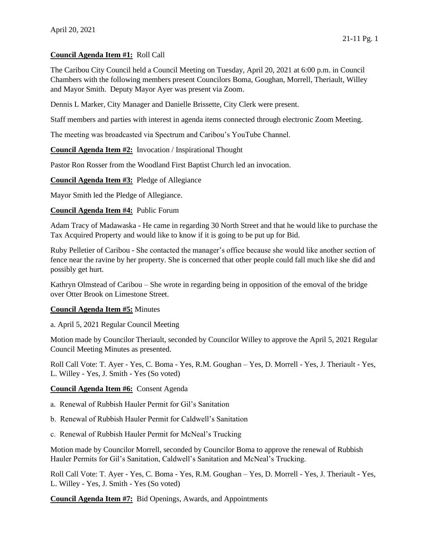## **Council Agenda Item #1:** Roll Call

The Caribou City Council held a Council Meeting on Tuesday, April 20, 2021 at 6:00 p.m. in Council Chambers with the following members present Councilors Boma, Goughan, Morrell, Theriault, Willey and Mayor Smith. Deputy Mayor Ayer was present via Zoom.

Dennis L Marker, City Manager and Danielle Brissette, City Clerk were present.

Staff members and parties with interest in agenda items connected through electronic Zoom Meeting.

The meeting was broadcasted via Spectrum and Caribou's YouTube Channel.

**Council Agenda Item #2:** Invocation / Inspirational Thought

Pastor Ron Rosser from the Woodland First Baptist Church led an invocation.

**Council Agenda Item #3:** Pledge of Allegiance

Mayor Smith led the Pledge of Allegiance.

**Council Agenda Item #4:** Public Forum

Adam Tracy of Madawaska - He came in regarding 30 North Street and that he would like to purchase the Tax Acquired Property and would like to know if it is going to be put up for Bid.

Ruby Pelletier of Caribou - She contacted the manager's office because she would like another section of fence near the ravine by her property. She is concerned that other people could fall much like she did and possibly get hurt.

Kathryn Olmstead of Caribou – She wrote in regarding being in opposition of the emoval of the bridge over Otter Brook on Limestone Street.

## **Council Agenda Item #5:** Minutes

a. April 5, 2021 Regular Council Meeting

Motion made by Councilor Theriault, seconded by Councilor Willey to approve the April 5, 2021 Regular Council Meeting Minutes as presented.

Roll Call Vote: T. Ayer - Yes, C. Boma - Yes, R.M. Goughan – Yes, D. Morrell - Yes, J. Theriault - Yes, L. Willey - Yes, J. Smith - Yes (So voted)

## **Council Agenda Item #6:** Consent Agenda

- a. Renewal of Rubbish Hauler Permit for Gil's Sanitation
- b. Renewal of Rubbish Hauler Permit for Caldwell's Sanitation
- c. Renewal of Rubbish Hauler Permit for McNeal's Trucking

Motion made by Councilor Morrell, seconded by Councilor Boma to approve the renewal of Rubbish Hauler Permits for Gil's Sanitation, Caldwell's Sanitation and McNeal's Trucking.

Roll Call Vote: T. Ayer - Yes, C. Boma - Yes, R.M. Goughan – Yes, D. Morrell - Yes, J. Theriault - Yes, L. Willey - Yes, J. Smith - Yes (So voted)

**Council Agenda Item #7:** Bid Openings, Awards, and Appointments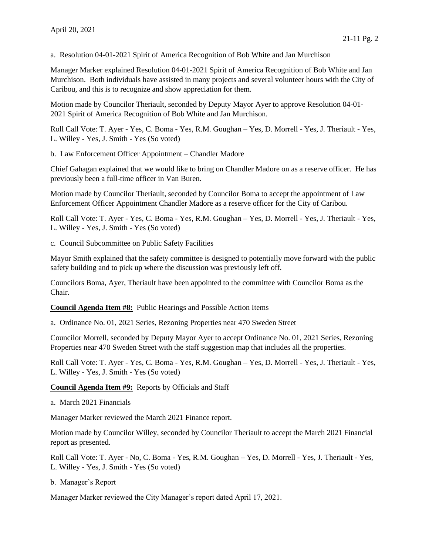a. Resolution 04-01-2021 Spirit of America Recognition of Bob White and Jan Murchison

Manager Marker explained Resolution 04-01-2021 Spirit of America Recognition of Bob White and Jan Murchison. Both individuals have assisted in many projects and several volunteer hours with the City of Caribou, and this is to recognize and show appreciation for them.

Motion made by Councilor Theriault, seconded by Deputy Mayor Ayer to approve Resolution 04-01- 2021 Spirit of America Recognition of Bob White and Jan Murchison.

Roll Call Vote: T. Ayer - Yes, C. Boma - Yes, R.M. Goughan – Yes, D. Morrell - Yes, J. Theriault - Yes, L. Willey - Yes, J. Smith - Yes (So voted)

b. Law Enforcement Officer Appointment – Chandler Madore

Chief Gahagan explained that we would like to bring on Chandler Madore on as a reserve officer. He has previously been a full-time officer in Van Buren.

Motion made by Councilor Theriault, seconded by Councilor Boma to accept the appointment of Law Enforcement Officer Appointment Chandler Madore as a reserve officer for the City of Caribou.

Roll Call Vote: T. Ayer - Yes, C. Boma - Yes, R.M. Goughan – Yes, D. Morrell - Yes, J. Theriault - Yes, L. Willey - Yes, J. Smith - Yes (So voted)

c. Council Subcommittee on Public Safety Facilities

Mayor Smith explained that the safety committee is designed to potentially move forward with the public safety building and to pick up where the discussion was previously left off.

Councilors Boma, Ayer, Theriault have been appointed to the committee with Councilor Boma as the Chair.

**Council Agenda Item #8:** Public Hearings and Possible Action Items

a. Ordinance No. 01, 2021 Series, Rezoning Properties near 470 Sweden Street

Councilor Morrell, seconded by Deputy Mayor Ayer to accept Ordinance No. 01, 2021 Series, Rezoning Properties near 470 Sweden Street with the staff suggestion map that includes all the properties.

Roll Call Vote: T. Ayer - Yes, C. Boma - Yes, R.M. Goughan – Yes, D. Morrell - Yes, J. Theriault - Yes, L. Willey - Yes, J. Smith - Yes (So voted)

**Council Agenda Item #9:** Reports by Officials and Staff

a. March 2021 Financials

Manager Marker reviewed the March 2021 Finance report.

Motion made by Councilor Willey, seconded by Councilor Theriault to accept the March 2021 Financial report as presented.

Roll Call Vote: T. Ayer - No, C. Boma - Yes, R.M. Goughan – Yes, D. Morrell - Yes, J. Theriault - Yes, L. Willey - Yes, J. Smith - Yes (So voted)

b. Manager's Report

Manager Marker reviewed the City Manager's report dated April 17, 2021.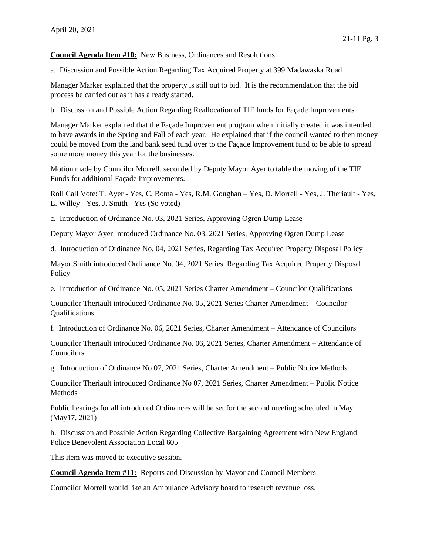**Council Agenda Item #10:** New Business, Ordinances and Resolutions

a. Discussion and Possible Action Regarding Tax Acquired Property at 399 Madawaska Road

Manager Marker explained that the property is still out to bid. It is the recommendation that the bid process be carried out as it has already started.

b. Discussion and Possible Action Regarding Reallocation of TIF funds for Façade Improvements

Manager Marker explained that the Façade Improvement program when initially created it was intended to have awards in the Spring and Fall of each year. He explained that if the council wanted to then money could be moved from the land bank seed fund over to the Façade Improvement fund to be able to spread some more money this year for the businesses.

Motion made by Councilor Morrell, seconded by Deputy Mayor Ayer to table the moving of the TIF Funds for additional Façade Improvements.

Roll Call Vote: T. Ayer - Yes, C. Boma - Yes, R.M. Goughan – Yes, D. Morrell - Yes, J. Theriault - Yes, L. Willey - Yes, J. Smith - Yes (So voted)

c. Introduction of Ordinance No. 03, 2021 Series, Approving Ogren Dump Lease

Deputy Mayor Ayer Introduced Ordinance No. 03, 2021 Series, Approving Ogren Dump Lease

d. Introduction of Ordinance No. 04, 2021 Series, Regarding Tax Acquired Property Disposal Policy

Mayor Smith introduced Ordinance No. 04, 2021 Series, Regarding Tax Acquired Property Disposal Policy

e. Introduction of Ordinance No. 05, 2021 Series Charter Amendment – Councilor Qualifications

Councilor Theriault introduced Ordinance No. 05, 2021 Series Charter Amendment – Councilor Qualifications

f. Introduction of Ordinance No. 06, 2021 Series, Charter Amendment – Attendance of Councilors

Councilor Theriault introduced Ordinance No. 06, 2021 Series, Charter Amendment – Attendance of Councilors

g. Introduction of Ordinance No 07, 2021 Series, Charter Amendment – Public Notice Methods

Councilor Theriault introduced Ordinance No 07, 2021 Series, Charter Amendment – Public Notice Methods

Public hearings for all introduced Ordinances will be set for the second meeting scheduled in May (May17, 2021)

h. Discussion and Possible Action Regarding Collective Bargaining Agreement with New England Police Benevolent Association Local 605

This item was moved to executive session.

**Council Agenda Item #11:** Reports and Discussion by Mayor and Council Members

Councilor Morrell would like an Ambulance Advisory board to research revenue loss.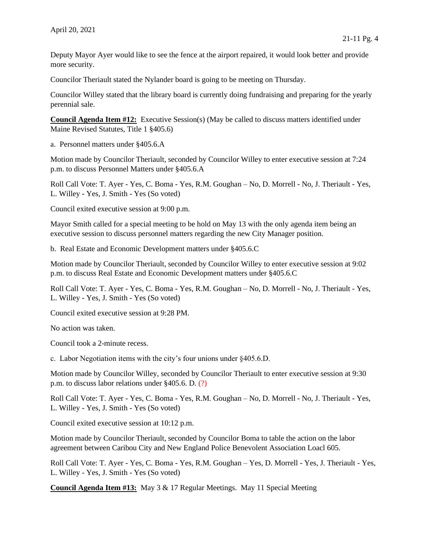Deputy Mayor Ayer would like to see the fence at the airport repaired, it would look better and provide more security.

Councilor Theriault stated the Nylander board is going to be meeting on Thursday.

Councilor Willey stated that the library board is currently doing fundraising and preparing for the yearly perennial sale.

**Council Agenda Item #12:** Executive Session(s) (May be called to discuss matters identified under Maine Revised Statutes, Title 1 §405.6)

a. Personnel matters under §405.6.A

Motion made by Councilor Theriault, seconded by Councilor Willey to enter executive session at 7:24 p.m. to discuss Personnel Matters under §405.6.A

Roll Call Vote: T. Ayer - Yes, C. Boma - Yes, R.M. Goughan – No, D. Morrell - No, J. Theriault - Yes, L. Willey - Yes, J. Smith - Yes (So voted)

Council exited executive session at 9:00 p.m.

Mayor Smith called for a special meeting to be hold on May 13 with the only agenda item being an executive session to discuss personnel matters regarding the new City Manager position.

b. Real Estate and Economic Development matters under §405.6.C

Motion made by Councilor Theriault, seconded by Councilor Willey to enter executive session at 9:02 p.m. to discuss Real Estate and Economic Development matters under §405.6.C

Roll Call Vote: T. Ayer - Yes, C. Boma - Yes, R.M. Goughan – No, D. Morrell - No, J. Theriault - Yes, L. Willey - Yes, J. Smith - Yes (So voted)

Council exited executive session at 9:28 PM.

No action was taken.

Council took a 2-minute recess.

c. Labor Negotiation items with the city's four unions under §405.6.D.

Motion made by Councilor Willey, seconded by Councilor Theriault to enter executive session at 9:30 p.m. to discuss labor relations under §405.6. D. (?)

Roll Call Vote: T. Ayer - Yes, C. Boma - Yes, R.M. Goughan – No, D. Morrell - No, J. Theriault - Yes, L. Willey - Yes, J. Smith - Yes (So voted)

Council exited executive session at 10:12 p.m.

Motion made by Councilor Theriault, seconded by Councilor Boma to table the action on the labor agreement between Caribou City and New England Police Benevolent Association Loacl 605.

Roll Call Vote: T. Ayer - Yes, C. Boma - Yes, R.M. Goughan – Yes, D. Morrell - Yes, J. Theriault - Yes, L. Willey - Yes, J. Smith - Yes (So voted)

**Council Agenda Item #13:** May 3 & 17 Regular Meetings. May 11 Special Meeting